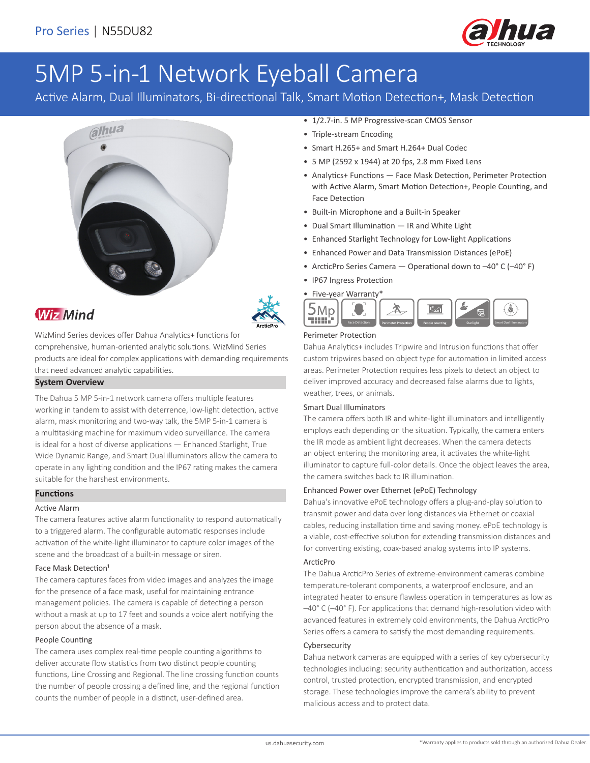

# 5MP 5-in-1 Network Eyeball Camera

Active Alarm, Dual Illuminators, Bi-directional Talk, Smart Motion Detection+, Mask Detection



# **Wiz Mind**

WizMind Series devices offer Dahua Analytics+ functions for comprehensive, human-oriented analytic solutions. WizMind Series products are ideal for complex applications with demanding requirements that need advanced analytic capabilities.

#### **System Overview**

The Dahua 5 MP 5-in-1 network camera offers multiple features working in tandem to assist with deterrence, low-light detection, active alarm, mask monitoring and two-way talk, the 5MP 5-in-1 camera is a multitasking machine for maximum video surveillance. The camera is ideal for a host of diverse applications — Enhanced Starlight, True Wide Dynamic Range, and Smart Dual illuminators allow the camera to operate in any lighting condition and the IP67 rating makes the camera suitable for the harshest environments.

#### **Functions**

#### Active Alarm

The camera features active alarm functionality to respond automatically to a triggered alarm. The configurable automatic responses include activation of the white-light illuminator to capture color images of the scene and the broadcast of a built-in message or siren.

#### Face Mask Detection<sup>1</sup>

The camera captures faces from video images and analyzes the image for the presence of a face mask, useful for maintaining entrance management policies. The camera is capable of detecting a person without a mask at up to 17 feet and sounds a voice alert notifying the person about the absence of a mask.

#### People Counting

The camera uses complex real-time people counting algorithms to deliver accurate flow statistics from two distinct people counting functions, Line Crossing and Regional. The line crossing function counts the number of people crossing a defined line, and the regional function counts the number of people in a distinct, user-defined area.

- 1/2.7-in. 5 MP Progressive-scan CMOS Sensor
- Triple-stream Encoding
- Smart H.265+ and Smart H.264+ Dual Codec
- 5 MP (2592 x 1944) at 20 fps, 2.8 mm Fixed Lens
- Analytics+ Functions Face Mask Detection, Perimeter Protection with Active Alarm, Smart Motion Detection+, People Counting, and Face Detection
- Built-in Microphone and a Built-in Speaker
- Dual Smart Illumination IR and White Light
- Enhanced Starlight Technology for Low-light Applications
- Enhanced Power and Data Transmission Distances (ePoE)
- ArcticPro Series Camera Operational down to –40° C (–40° F)
- IP67 Ingress Protection
- Five-year Warranty\* 5Mp THEF!

### Perimeter Protection

Dahua Analytics+ includes Tripwire and Intrusion functions that offer custom tripwires based on object type for automation in limited access areas. Perimeter Protection requires less pixels to detect an object to deliver improved accuracy and decreased false alarms due to lights, weather, trees, or animals.

Face Detection Perimeter Protection People counting Starlight Starlight Smart Dual Illuminators

#### Smart Dual Illuminators

The camera offers both IR and white-light illuminators and intelligently employs each depending on the situation. Typically, the camera enters the IR mode as ambient light decreases. When the camera detects an object entering the monitoring area, it activates the white-light illuminator to capture full-color details. Once the object leaves the area, the camera switches back to IR illumination.

#### Enhanced Power over Ethernet (ePoE) Technology

Dahua's innovative ePoE technology offers a plug-and-play solution to transmit power and data over long distances via Ethernet or coaxial cables, reducing installation time and saving money. ePoE technology is a viable, cost-effective solution for extending transmission distances and for converting existing, coax-based analog systems into IP systems.

#### ArcticPro

The Dahua ArcticPro Series of extreme-environment cameras combine temperature-tolerant components, a waterproof enclosure, and an integrated heater to ensure flawless operation in temperatures as low as –40° C (–40° F). For applications that demand high-resolution video with advanced features in extremely cold environments, the Dahua ArcticPro Series offers a camera to satisfy the most demanding requirements.

#### Cybersecurity

Dahua network cameras are equipped with a series of key cybersecurity technologies including: security authentication and authorization, access control, trusted protection, encrypted transmission, and encrypted storage. These technologies improve the camera's ability to prevent malicious access and to protect data.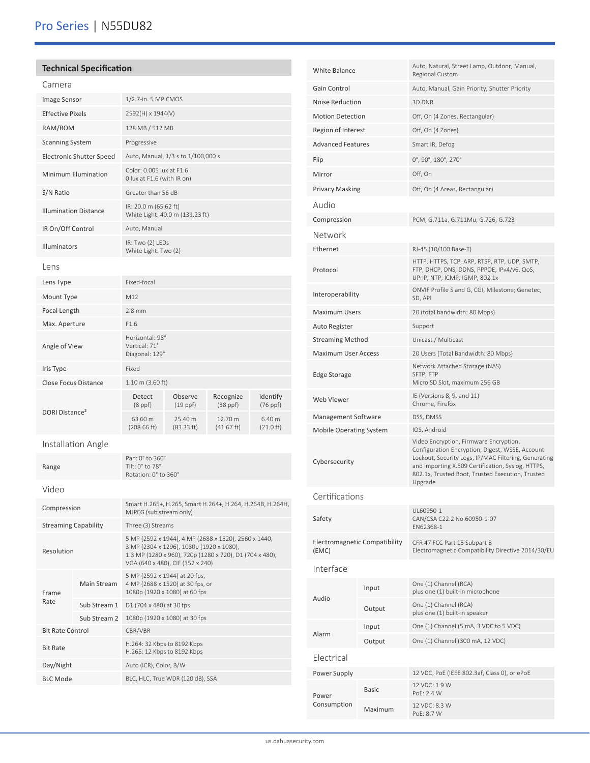### **Technical Specification**

| Camera                          |              |                                                                                                                                                                                                 |                                                           |                            |                               |  |
|---------------------------------|--------------|-------------------------------------------------------------------------------------------------------------------------------------------------------------------------------------------------|-----------------------------------------------------------|----------------------------|-------------------------------|--|
| <b>Image Sensor</b>             |              | 1/2.7-in. 5 MP CMOS                                                                                                                                                                             |                                                           |                            |                               |  |
| <b>Effective Pixels</b>         |              | 2592(H) x 1944(V)                                                                                                                                                                               |                                                           |                            |                               |  |
| RAM/ROM                         |              | 128 MB / 512 MB                                                                                                                                                                                 |                                                           |                            |                               |  |
| <b>Scanning System</b>          |              | Progressive                                                                                                                                                                                     |                                                           |                            |                               |  |
| <b>Electronic Shutter Speed</b> |              |                                                                                                                                                                                                 | Auto, Manual, 1/3 s to 1/100,000 s                        |                            |                               |  |
| Minimum Illumination            |              | Color: 0.005 lux at F1.6<br>0 lux at F1.6 (with IR on)                                                                                                                                          |                                                           |                            |                               |  |
| S/N Ratio                       |              | Greater than 56 dB                                                                                                                                                                              |                                                           |                            |                               |  |
| <b>Illumination Distance</b>    |              | IR: 20.0 m (65.62 ft)                                                                                                                                                                           | White Light: 40.0 m (131.23 ft)                           |                            |                               |  |
| IR On/Off Control               |              | Auto, Manual                                                                                                                                                                                    |                                                           |                            |                               |  |
| <b>Illuminators</b>             |              | IR: Two (2) LEDs<br>White Light: Two (2)                                                                                                                                                        |                                                           |                            |                               |  |
| Lens                            |              |                                                                                                                                                                                                 |                                                           |                            |                               |  |
| Lens Type                       |              | Fixed-focal                                                                                                                                                                                     |                                                           |                            |                               |  |
| Mount Type                      |              | M12                                                                                                                                                                                             |                                                           |                            |                               |  |
| Focal Length                    |              | $2.8$ mm                                                                                                                                                                                        |                                                           |                            |                               |  |
| Max. Aperture                   |              | F1.6                                                                                                                                                                                            |                                                           |                            |                               |  |
| Angle of View                   |              | Horizontal: 98°<br>Vertical: 71°<br>Diagonal: 129°                                                                                                                                              |                                                           |                            |                               |  |
| Iris Type                       |              | Fixed                                                                                                                                                                                           |                                                           |                            |                               |  |
| <b>Close Focus Distance</b>     |              | $1.10 \text{ m}$ (3.60 ft)                                                                                                                                                                      |                                                           |                            |                               |  |
| DORI Distance <sup>2</sup>      |              | Detect<br>$(8$ ppf $)$                                                                                                                                                                          | Observe<br>$(19$ ppf)                                     | Recognize<br>$(38$ ppf $)$ | Identify<br>(76 ppf)          |  |
|                                 |              | 63.60 m<br>(208.66 ft)                                                                                                                                                                          | 25.40 m<br>(83.33 ft)                                     | 12.70 m<br>(41.67 ft)      | 6.40 m<br>$(21.0 \text{ ft})$ |  |
| Installation Angle              |              |                                                                                                                                                                                                 |                                                           |                            |                               |  |
| Range                           |              | Pan: 0° to 360°<br>Tilt: 0° to 78°<br>Rotation: 0° to 360°                                                                                                                                      |                                                           |                            |                               |  |
| Video                           |              |                                                                                                                                                                                                 |                                                           |                            |                               |  |
| Compression                     |              | MJPEG (sub stream only)                                                                                                                                                                         | Smart H.265+, H.265, Smart H.264+, H.264, H.264B, H.264H, |                            |                               |  |
| <b>Streaming Capability</b>     |              | Three (3) Streams                                                                                                                                                                               |                                                           |                            |                               |  |
| Resolution                      |              | 5 MP (2592 x 1944), 4 MP (2688 x 1520), 2560 x 1440,<br>3 MP (2304 x 1296), 1080p (1920 x 1080),<br>1.3 MP (1280 x 960), 720p (1280 x 720), D1 (704 x 480),<br>VGA (640 x 480), CIF (352 x 240) |                                                           |                            |                               |  |
| Frame                           | Main Stream  | 5 MP (2592 x 1944) at 20 fps,<br>4 MP (2688 x 1520) at 30 fps, or<br>1080p (1920 x 1080) at 60 fps                                                                                              |                                                           |                            |                               |  |
| Rate                            | Sub Stream 1 | D1 (704 x 480) at 30 fps                                                                                                                                                                        |                                                           |                            |                               |  |
|                                 | Sub Stream 2 |                                                                                                                                                                                                 | 1080p (1920 x 1080) at 30 fps                             |                            |                               |  |
| <b>Bit Rate Control</b>         |              | CBR/VBR                                                                                                                                                                                         |                                                           |                            |                               |  |
| <b>Bit Rate</b>                 |              | H.264: 32 Kbps to 8192 Kbps<br>H.265: 12 Kbps to 8192 Kbps                                                                                                                                      |                                                           |                            |                               |  |
| Day/Night                       |              | Auto (ICR), Color, B/W                                                                                                                                                                          |                                                           |                            |                               |  |
| <b>BLC Mode</b>                 |              | BLC, HLC, True WDR (120 dB), SSA                                                                                                                                                                |                                                           |                            |                               |  |

| <b>White Balance</b>                   |              | Auto, Natural, Street Lamp, Outdoor, Manual,<br>Regional Custom                                                                                                                                                                                                       |  |  |
|----------------------------------------|--------------|-----------------------------------------------------------------------------------------------------------------------------------------------------------------------------------------------------------------------------------------------------------------------|--|--|
| Gain Control                           |              | Auto, Manual, Gain Priority, Shutter Priority                                                                                                                                                                                                                         |  |  |
| <b>Noise Reduction</b>                 |              | 3D DNR                                                                                                                                                                                                                                                                |  |  |
| <b>Motion Detection</b>                |              | Off, On (4 Zones, Rectangular)                                                                                                                                                                                                                                        |  |  |
| Region of Interest                     |              | Off, On (4 Zones)                                                                                                                                                                                                                                                     |  |  |
| <b>Advanced Features</b>               |              | Smart IR, Defog                                                                                                                                                                                                                                                       |  |  |
| Flip                                   |              | 0°, 90°, 180°, 270°                                                                                                                                                                                                                                                   |  |  |
| Mirror                                 |              | Off, On                                                                                                                                                                                                                                                               |  |  |
| <b>Privacy Masking</b>                 |              | Off, On (4 Areas, Rectangular)                                                                                                                                                                                                                                        |  |  |
| Audio                                  |              |                                                                                                                                                                                                                                                                       |  |  |
| Compression                            |              | PCM, G.711a, G.711Mu, G.726, G.723                                                                                                                                                                                                                                    |  |  |
| Network                                |              |                                                                                                                                                                                                                                                                       |  |  |
| Ethernet                               |              | RJ-45 (10/100 Base-T)                                                                                                                                                                                                                                                 |  |  |
| Protocol                               |              | HTTP, HTTPS, TCP, ARP, RTSP, RTP, UDP, SMTP,<br>FTP, DHCP, DNS, DDNS, PPPOE, IPv4/v6, QoS,<br>UPnP, NTP, ICMP, IGMP, 802.1x                                                                                                                                           |  |  |
| Interoperability                       |              | ONVIF Profile S and G, CGI, Milestone; Genetec,<br>SD, API                                                                                                                                                                                                            |  |  |
| <b>Maximum Users</b>                   |              | 20 (total bandwidth: 80 Mbps)                                                                                                                                                                                                                                         |  |  |
| Auto Register                          |              | Support                                                                                                                                                                                                                                                               |  |  |
| <b>Streaming Method</b>                |              | Unicast / Multicast                                                                                                                                                                                                                                                   |  |  |
| <b>Maximum User Access</b>             |              | 20 Users (Total Bandwidth: 80 Mbps)                                                                                                                                                                                                                                   |  |  |
| Edge Storage                           |              | Network Attached Storage (NAS)<br>SFTP, FTP<br>Micro SD Slot, maximum 256 GB                                                                                                                                                                                          |  |  |
| Web Viewer                             |              | IE (Versions 8, 9, and 11)<br>Chrome, Firefox                                                                                                                                                                                                                         |  |  |
| Management Software                    |              | DSS, DMSS                                                                                                                                                                                                                                                             |  |  |
| <b>Mobile Operating System</b>         |              | IOS, Android                                                                                                                                                                                                                                                          |  |  |
| Cybersecurity                          |              | Video Encryption, Firmware Encryption,<br>Configuration Encryption, Digest, WSSE, Account<br>Lockout, Security Logs, IP/MAC Filtering, Generating<br>and Importing X.509 Certification, Syslog, HTTPS,<br>802.1x, Trusted Boot, Trusted Execution, Trusted<br>Upgrade |  |  |
| Certifications                         |              |                                                                                                                                                                                                                                                                       |  |  |
| Safety                                 |              | UL60950-1<br>CAN/CSA C22.2 No.60950-1-07<br>EN62368-1                                                                                                                                                                                                                 |  |  |
| Electromagnetic Compatibility<br>(EMC) |              | CFR 47 FCC Part 15 Subpart B<br>Electromagnetic Compatibility Directive 2014/30/EU                                                                                                                                                                                    |  |  |
| Interface                              |              |                                                                                                                                                                                                                                                                       |  |  |
| <b>Audio</b>                           | Input        | One (1) Channel (RCA)<br>plus one (1) built-in microphone                                                                                                                                                                                                             |  |  |
|                                        | Output       | One (1) Channel (RCA)<br>plus one (1) built-in speaker                                                                                                                                                                                                                |  |  |
|                                        | Input        | One (1) Channel (5 mA, 3 VDC to 5 VDC)                                                                                                                                                                                                                                |  |  |
| Alarm<br>Output                        |              | One (1) Channel (300 mA, 12 VDC)                                                                                                                                                                                                                                      |  |  |
| Electrical                             |              |                                                                                                                                                                                                                                                                       |  |  |
| Power Supply                           |              | 12 VDC, PoE (IEEE 802.3af, Class 0), or ePoE                                                                                                                                                                                                                          |  |  |
| Power                                  | <b>Basic</b> | 12 VDC: 1.9 W<br>PoE: 2.4 W                                                                                                                                                                                                                                           |  |  |
| Consumption                            | Maximum      | 12 VDC: 8.3 W<br>PoE: 8.7 W                                                                                                                                                                                                                                           |  |  |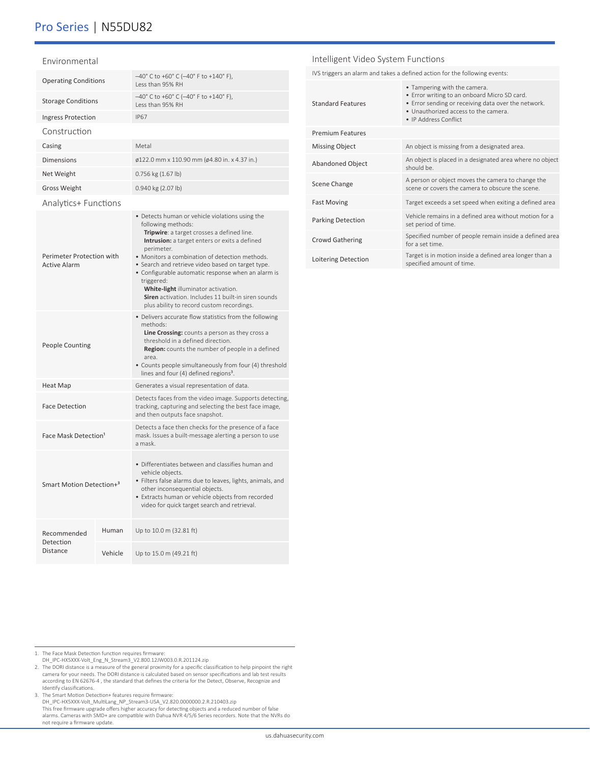## Pro Series | N55DU82

#### Environmental

| <b>Operating Conditions</b>                      |         | -40° C to +60° C (-40° F to +140° F),<br>Less than 95% RH                                                                                                                                                                                                                                                                                                                                                                                                                                                |  |  |
|--------------------------------------------------|---------|----------------------------------------------------------------------------------------------------------------------------------------------------------------------------------------------------------------------------------------------------------------------------------------------------------------------------------------------------------------------------------------------------------------------------------------------------------------------------------------------------------|--|--|
| <b>Storage Conditions</b>                        |         | -40°C to +60°C (-40°F to +140°F),<br>Less than 95% RH                                                                                                                                                                                                                                                                                                                                                                                                                                                    |  |  |
| <b>Ingress Protection</b>                        |         | <b>IP67</b>                                                                                                                                                                                                                                                                                                                                                                                                                                                                                              |  |  |
| Construction                                     |         |                                                                                                                                                                                                                                                                                                                                                                                                                                                                                                          |  |  |
| Casing                                           |         | Metal                                                                                                                                                                                                                                                                                                                                                                                                                                                                                                    |  |  |
| <b>Dimensions</b>                                |         | ø122.0 mm x 110.90 mm (ø4.80 in. x 4.37 in.)                                                                                                                                                                                                                                                                                                                                                                                                                                                             |  |  |
| Net Weight                                       |         | 0.756 kg (1.67 lb)                                                                                                                                                                                                                                                                                                                                                                                                                                                                                       |  |  |
| <b>Gross Weight</b>                              |         | 0.940 kg (2.07 lb)                                                                                                                                                                                                                                                                                                                                                                                                                                                                                       |  |  |
| <b>Analytics+ Functions</b>                      |         |                                                                                                                                                                                                                                                                                                                                                                                                                                                                                                          |  |  |
| Perimeter Protection with<br><b>Active Alarm</b> |         | • Detects human or vehicle violations using the<br>following methods:<br>Tripwire: a target crosses a defined line.<br>Intrusion: a target enters or exits a defined<br>perimeter.<br>• Monitors a combination of detection methods.<br>· Search and retrieve video based on target type.<br>• Configurable automatic response when an alarm is<br>triggered:<br>White-light illuminator activation.<br>Siren activation. Includes 11 built-in siren sounds<br>plus ability to record custom recordings. |  |  |
| <b>People Counting</b>                           |         | • Delivers accurate flow statistics from the following<br>methods:<br>Line Crossing: counts a person as they cross a<br>threshold in a defined direction.<br>Region: counts the number of people in a defined<br>area<br>• Counts people simultaneously from four (4) threshold<br>lines and four (4) defined regions <sup>3</sup> .                                                                                                                                                                     |  |  |
| <b>Heat Map</b>                                  |         | Generates a visual representation of data.                                                                                                                                                                                                                                                                                                                                                                                                                                                               |  |  |
| <b>Face Detection</b>                            |         | Detects faces from the video image. Supports detecting,<br>tracking, capturing and selecting the best face image,<br>and then outputs face snapshot.                                                                                                                                                                                                                                                                                                                                                     |  |  |
| Face Mask Detection <sup>1</sup>                 |         | Detects a face then checks for the presence of a face<br>mask. Issues a built-message alerting a person to use<br>a mask.                                                                                                                                                                                                                                                                                                                                                                                |  |  |
| Smart Motion Detection+ <sup>3</sup>             |         | • Differentiates between and classifies human and<br>vehicle objects.<br>· Filters false alarms due to leaves, lights, animals, and<br>other inconsequential objects.<br>• Extracts human or vehicle objects from recorded<br>video for quick target search and retrieval.                                                                                                                                                                                                                               |  |  |
| Recommended                                      | Human   | Up to 10.0 m (32.81 ft)                                                                                                                                                                                                                                                                                                                                                                                                                                                                                  |  |  |
| Detection<br>Distance                            | Vehicle | Up to 15.0 m (49.21 ft)                                                                                                                                                                                                                                                                                                                                                                                                                                                                                  |  |  |

#### Intelligent Video System Functions

IVS triggers an alarm and takes a defined action for the following events:

| <b>Standard Features</b> | • Tampering with the camera.<br>• Error writing to an onboard Micro SD card.<br>• Error sending or receiving data over the network.<br>. Unauthorized access to the camera.<br>• IP Address Conflict |
|--------------------------|------------------------------------------------------------------------------------------------------------------------------------------------------------------------------------------------------|
| <b>Premium Features</b>  |                                                                                                                                                                                                      |
| <b>Missing Object</b>    | An object is missing from a designated area.                                                                                                                                                         |
| <b>Abandoned Object</b>  | An object is placed in a designated area where no object<br>should be.                                                                                                                               |
| Scene Change             | A person or object moves the camera to change the<br>scene or covers the camera to obscure the scene.                                                                                                |
| <b>Fast Moving</b>       | Target exceeds a set speed when exiting a defined area                                                                                                                                               |
| <b>Parking Detection</b> | Vehicle remains in a defined area without motion for a<br>set period of time.                                                                                                                        |
| <b>Crowd Gathering</b>   | Specified number of people remain inside a defined area<br>for a set time.                                                                                                                           |
| Loitering Detection      | Target is in motion inside a defined area longer than a<br>specified amount of time.                                                                                                                 |

1. The Face Mask Detection function requires firmware:

DH\_IPC-HX5XXX-Volt\_Eng\_N\_Stream3\_V2.800.12JW003.0.R.201124.zip<br>2. The DORI distance is a measure of the general proximity for a specific classification to help pinpoint the right<br>camera for your needs. The DORI distance is according to EN 62676-4 , the standard that defines the criteria for the Detect, Observe, Recognize and

ldentify classifications.<br>3. The Smart Motion Detection+ features require firmware:<br>DH\_IPC-N5SXXX-Volt\_MultiLang\_NP\_Stream3-USA\_V2.820.0000000.2.R.210403.zip<br>This free firmware upgrade offers higher accuracy for detecting not require a firmware update.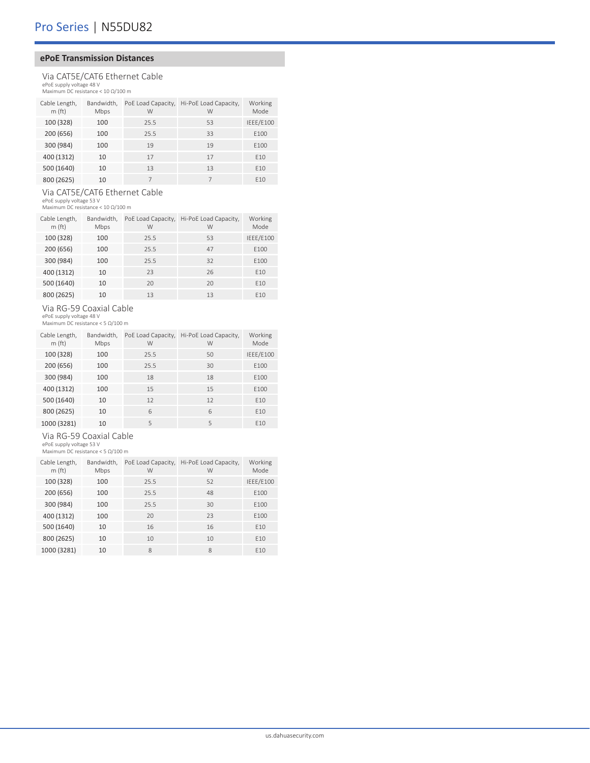#### **ePoE Transmission Distances**

### Via CAT5E/CAT6 Ethernet Cable ePoE supply voltage 48 V Maximum DC resistance < 10 Ω/100 m

| Cable Length,<br>m(ft) | Bandwidth,<br>Mbps | PoE Load Capacity,<br>W | Hi-PoE Load Capacity,<br>W | Working<br>Mode |
|------------------------|--------------------|-------------------------|----------------------------|-----------------|
| 100 (328)              | 100                | 25.5                    | 53                         | IEEE/E100       |
| 200 (656)              | 100                | 25.5                    | 33                         | E100            |
| 300 (984)              | 100                | 19                      | 19                         | E100            |
| 400 (1312)             | 10                 | 17                      | 17                         | F <sub>10</sub> |
| 500 (1640)             | 10                 | 13                      | 13                         | E10             |
| 800 (2625)             | 10                 |                         |                            | E10             |

### Via CAT5E/CAT6 Ethernet Cable ePoE supply voltage 53 V Maximum DC resistance < 10 Ω/100 m

| Cable Length, | Bandwidth. | PoE Load Capacity, | Hi-PoE Load Capacity, | Working         |
|---------------|------------|--------------------|-----------------------|-----------------|
| m(ft)         | Mbps       | W                  | W                     | Mode            |
| 100 (328)     | 100        | 25.5               | 53                    | IEEE/E100       |
| 200 (656)     | 100        | 25.5               | 47                    | E100            |
| 300 (984)     | 100        | 25.5               | 32                    | E100            |
| 400 (1312)    | 10         | 23                 | 26                    | E10             |
| 500 (1640)    | 10         | 20                 | 20                    | E10             |
| 800 (2625)    | 10         | 13                 | 13                    | F <sub>10</sub> |

Via RG-59 Coaxial Cable ePoE supply voltage 48 V Maximum DC resistance < 5 Ω/100 m

| Cable Length,<br>m(f <sub>t</sub> ) | Bandwidth,<br>Mbps | PoE Load Capacity,<br>W | Hi-PoE Load Capacity,<br>W | Working<br>Mode |
|-------------------------------------|--------------------|-------------------------|----------------------------|-----------------|
| 100 (328)                           | 100                | 25.5                    | 50                         | IEEE/E100       |
| 200 (656)                           | 100                | 25.5                    | 30                         | E100            |
| 300 (984)                           | 100                | 18                      | 18                         | E100            |
| 400 (1312)                          | 100                | 15                      | 15                         | E100            |
| 500 (1640)                          | 10                 | 12                      | 12                         | E10             |
| 800 (2625)                          | 10                 | 6                       | 6                          | E10             |
| 1000 (3281)                         | 10                 | 5                       | 5                          | E10             |

# Via RG-59 Coaxial Cable

ePoE supply voltage 53 V Maximum DC resistance < 5 Ω/100 m

| Cable Length,<br>m(ft) | Bandwidth,<br>Mbps | PoE Load Capacity,<br>W | Hi-PoE Load Capacity,<br>W | Working<br>Mode |
|------------------------|--------------------|-------------------------|----------------------------|-----------------|
| 100 (328)              | 100                | 25.5                    | 52                         | IEEE/E100       |
| 200 (656)              | 100                | 25.5                    | 48                         | E100            |
| 300 (984)              | 100                | 25.5                    | 30                         | E100            |
| 400 (1312)             | 100                | 20                      | 23                         | E100            |
| 500 (1640)             | 10                 | 16                      | 16                         | E10             |
| 800 (2625)             | 10                 | 10                      | 10                         | E10             |
| 1000 (3281)            | 10                 | 8                       | 8                          | F <sub>10</sub> |